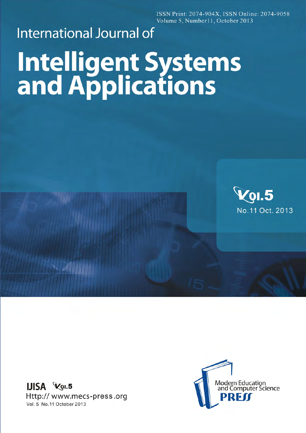ISSN Print: 2074-904X, ISSN Online: 2074-9058 Volume 5, Number11, October 2013

## **International Journal of Intelligent Systems**<br>and Applications



IJISA Vol.5 Http:// www.mecs-press.org Vol. 5 No. 11 October 2013

 $\sim$  400